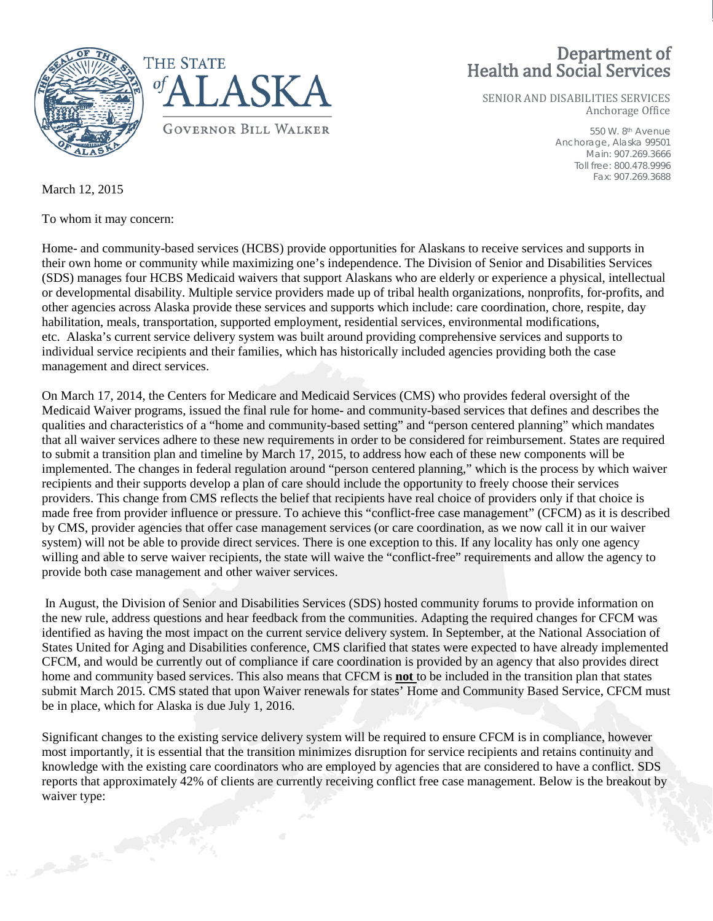## Department of Health and Social Services

SENIOR AND DISABILITIES SERVICES Anchorage Office

> 550 W. 8th Avenue Anchorage, Alaska 99501 Main: 907.269.3666 Toll free: 800.478.9996 Fax: 907.269.3688



March 12, 2015

To whom it may concern:

Home- and community-based services (HCBS) provide opportunities for Alaskans to receive services and supports in their own home or community while maximizing one's independence. The Division of Senior and Disabilities Services (SDS) manages four HCBS Medicaid waivers that support Alaskans who are elderly or experience a physical, intellectual or developmental disability. Multiple service providers made up of tribal health organizations, nonprofits, for-profits, and other agencies across Alaska provide these services and supports which include: care coordination, chore, respite, day habilitation, meals, transportation, supported employment, residential services, environmental modifications, etc. Alaska's current service delivery system was built around providing comprehensive services and supports to individual service recipients and their families, which has historically included agencies providing both the case management and direct services.

On March 17, 2014, the Centers for Medicare and Medicaid Services (CMS) who provides federal oversight of the Medicaid Waiver programs, issued the final rule for home- and community-based services that defines and describes the qualities and characteristics of a "home and community-based setting" and "person centered planning" which mandates that all waiver services adhere to these new requirements in order to be considered for reimbursement. States are required to submit a transition plan and timeline by March 17, 2015, to address how each of these new components will be implemented. The changes in federal regulation around "person centered planning," which is the process by which waiver recipients and their supports develop a plan of care should include the opportunity to freely choose their services providers. This change from CMS reflects the belief that recipients have real choice of providers only if that choice is made free from provider influence or pressure. To achieve this "conflict-free case management" (CFCM) as it is described by CMS, provider agencies that offer case management services (or care coordination, as we now call it in our waiver system) will not be able to provide direct services. There is one exception to this. If any locality has only one agency willing and able to serve waiver recipients, the state will waive the "conflict-free" requirements and allow the agency to provide both case management and other waiver services.

In August, the Division of Senior and Disabilities Services (SDS) hosted community forums to provide information on the new rule, address questions and hear feedback from the communities. Adapting the required changes for CFCM was identified as having the most impact on the current service delivery system. In September, at the National Association of States United for Aging and Disabilities conference, CMS clarified that states were expected to have already implemented CFCM, and would be currently out of compliance if care coordination is provided by an agency that also provides direct home and community based services. This also means that CFCM is **not** to be included in the transition plan that states submit March 2015. CMS stated that upon Waiver renewals for states' Home and Community Based Service, CFCM must be in place, which for Alaska is due July 1, 2016.

Significant changes to the existing service delivery system will be required to ensure CFCM is in compliance, however most importantly, it is essential that the transition minimizes disruption for service recipients and retains continuity and knowledge with the existing care coordinators who are employed by agencies that are considered to have a conflict. SDS reports that approximately 42% of clients are currently receiving conflict free case management. Below is the breakout by waiver type: